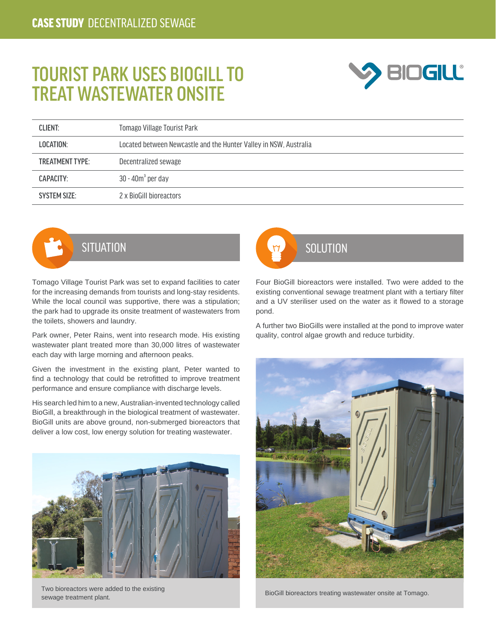# TOURIST PARK USES BIOGILL TO TREAT WASTEWATER ONSITE



| <b>CLIENT:</b>         | <b>Tomago Village Tourist Park</b>                                |  |
|------------------------|-------------------------------------------------------------------|--|
| LOCATION:              | Located between Newcastle and the Hunter Valley in NSW, Australia |  |
| <b>TREATMENT TYPE:</b> | Decentralized sewage                                              |  |
| CAPACITY:              | $30 - 40m3$ per day                                               |  |
| <b>SYSTEM SIZE:</b>    | 2 x BioGill bioreactors                                           |  |



### **SITUATION**

Tomago Village Tourist Park was set to expand facilities to cater for the increasing demands from tourists and long-stay residents. While the local council was supportive, there was a stipulation; the park had to upgrade its onsite treatment of wastewaters from the toilets, showers and laundry.

Park owner, Peter Rains, went into research mode. His existing wastewater plant treated more than 30,000 litres of wastewater each day with large morning and afternoon peaks.

Given the investment in the existing plant, Peter wanted to find a technology that could be retrofitted to improve treatment performance and ensure compliance with discharge levels.

His search led him to a new, Australian-invented technology called BioGill, a breakthrough in the biological treatment of wastewater. BioGill units are above ground, non-submerged bioreactors that deliver a low cost, low energy solution for treating wastewater.



Two bioreactors were added to the existing sewage treatment plant.



Four BioGill bioreactors were installed. Two were added to the existing conventional sewage treatment plant with a tertiary filter and a UV steriliser used on the water as it flowed to a storage pond.

A further two BioGills were installed at the pond to improve water quality, control algae growth and reduce turbidity.



BioGill bioreactors treating wastewater onsite at Tomago.